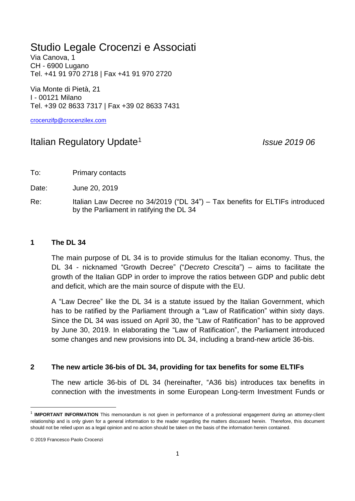## Studio Legale Crocenzi e Associati

Via Canova, 1 CH - 6900 Lugano Tel. +41 91 970 2718 | Fax +41 91 970 2720

Via Monte di Pietà, 21 I - 00121 Milano Tel. +39 02 8633 7317 | Fax +39 02 8633 7431

[crocenzifp@crocenzilex.com](mailto:crocenzifp@crocenzilex.com)

## Italian Regulatory Update<sup>1</sup>

*Issue 2019 06*

To: Primary contacts

Date: June 20, 2019

Re: Italian Law Decree no 34/2019 ("DL 34") – Tax benefits for ELTIFs introduced by the Parliament in ratifying the DL 34

## **1 The DL 34**

The main purpose of DL 34 is to provide stimulus for the Italian economy. Thus, the DL 34 - nicknamed "Growth Decree" ("*Decreto Crescita*") – aims to facilitate the growth of the Italian GDP in order to improve the ratios between GDP and public debt and deficit, which are the main source of dispute with the EU.

A "Law Decree" like the DL 34 is a statute issued by the Italian Government, which has to be ratified by the Parliament through a "Law of Ratification" within sixty days. Since the DL 34 was issued on April 30, the "Law of Ratification" has to be approved by June 30, 2019. In elaborating the "Law of Ratification", the Parliament introduced some changes and new provisions into DL 34, including a brand-new article 36-bis.

## **2 The new article 36-bis of DL 34, providing for tax benefits for some ELTIFs**

The new article 36-bis of DL 34 (hereinafter, "A36 bis) introduces tax benefits in connection with the investments in some European Long-term Investment Funds or

**.** 

<sup>&</sup>lt;sup>1</sup> IMPORTANT INFORMATION This memorandum is not given in performance of a professional engagement during an attorney-client relationship and is only given for a general information to the reader regarding the matters discussed herein. Therefore, this document should not be relied upon as a legal opinion and no action should be taken on the basis of the information herein contained.

<sup>© 2019</sup> Francesco Paolo Crocenzi